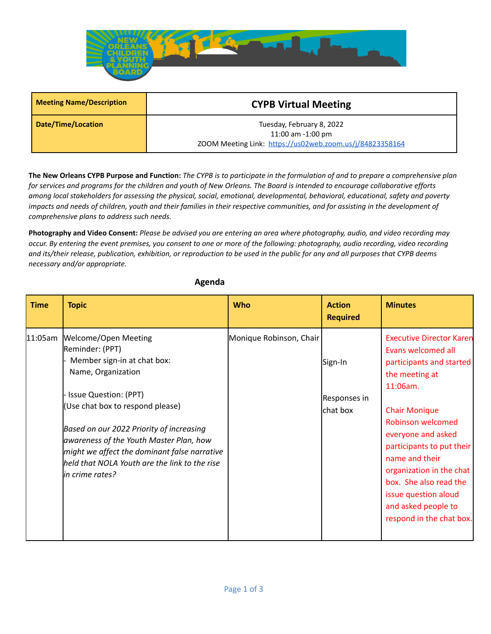

| <b>Meeting Name/Description</b> | <b>CYPB Virtual Meeting</b>                              |  |  |
|---------------------------------|----------------------------------------------------------|--|--|
| Date/Time/Location              | Tuesday, February 8, 2022                                |  |  |
|                                 | 11:00 am $-1:00$ pm                                      |  |  |
|                                 | ZOOM Meeting Link: https://us02web.zoom.us/j/84823358164 |  |  |

The New Orleans CYPB Purpose and Function: The CYPB is to participate in the formulation of and to prepare a comprehensive plan for services and programs for the children and youth of New Orleans. The Board is intended to encourage collaborative efforts among local stakeholders for assessing the physical, social, emotional, developmental, behavioral, educational, safety and poverty impacts and needs of children, youth and their families in their respective communities, and for assisting in the development of *comprehensive plans to address such needs.*

Photography and Video Consent: Please be advised you are entering an area where photography, audio, and video recording may occur. By entering the event premises, you consent to one or more of the following: photography, audio recording, video recording and its/their release, publication, exhibition, or reproduction to be used in the public for any and all purposes that CYPB deems *necessary and/or appropriate.*

| <b>Time</b> | <b>Topic</b>                                                                                                                                                                                                                                                                                                                                                                | <b>Who</b>              | <b>Action</b><br><b>Required</b>    | <b>Minutes</b>                                                                                                                                                                                                                                                                                                                                                            |
|-------------|-----------------------------------------------------------------------------------------------------------------------------------------------------------------------------------------------------------------------------------------------------------------------------------------------------------------------------------------------------------------------------|-------------------------|-------------------------------------|---------------------------------------------------------------------------------------------------------------------------------------------------------------------------------------------------------------------------------------------------------------------------------------------------------------------------------------------------------------------------|
| 11:05am     | <b>Welcome/Open Meeting</b><br>Reminder: (PPT)<br>Member sign-in at chat box:<br>Name, Organization<br>Issue Question: (PPT)<br>(Use chat box to respond please)<br>Based on our 2022 Priority of increasing<br>awareness of the Youth Master Plan, how<br>might we affect the dominant false narrative<br>held that NOLA Youth are the link to the rise<br>in crime rates? | Monique Robinson, Chair | Sign-In<br>Responses in<br>chat box | <b>Executive Director Karen</b><br>Evans welcomed all<br>participants and started<br>the meeting at<br>11:06am.<br><b>Chair Monique</b><br><b>Robinson welcomed</b><br>everyone and asked<br>participants to put their<br>name and their<br>organization in the chat<br>box. She also read the<br>issue question aloud<br>and asked people to<br>respond in the chat box. |

## **Agenda**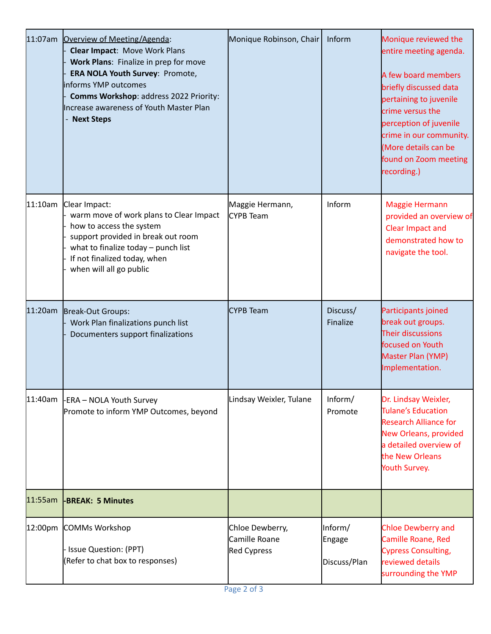| 11:07am | Overview of Meeting/Agenda:<br><b>Clear Impact: Move Work Plans</b><br>Work Plans: Finalize in prep for move<br>ERA NOLA Youth Survey: Promote,<br>informs YMP outcomes<br>Comms Workshop: address 2022 Priority:<br>Increase awareness of Youth Master Plan<br><b>Next Steps</b> | Monique Robinson, Chair                                | Inform                            | Monique reviewed the<br>entire meeting agenda.<br>A few board members<br>briefly discussed data<br>pertaining to juvenile<br>crime versus the<br>perception of juvenile<br>crime in our community.<br>More details can be<br>found on Zoom meeting<br>recording.) |
|---------|-----------------------------------------------------------------------------------------------------------------------------------------------------------------------------------------------------------------------------------------------------------------------------------|--------------------------------------------------------|-----------------------------------|-------------------------------------------------------------------------------------------------------------------------------------------------------------------------------------------------------------------------------------------------------------------|
| 11:10am | Clear Impact:<br>warm move of work plans to Clear Impact<br>how to access the system<br>support provided in break out room<br>what to finalize today - punch list<br>If not finalized today, when<br>when will all go public                                                      | Maggie Hermann,<br>CYPB Team                           | Inform                            | <b>Maggie Hermann</b><br>provided an overview of<br>Clear Impact and<br>demonstrated how to<br>navigate the tool.                                                                                                                                                 |
| 11:20am | Break-Out Groups:<br>Work Plan finalizations punch list<br>Documenters support finalizations                                                                                                                                                                                      | <b>CYPB Team</b>                                       | Discuss/<br>Finalize              | Participants joined<br>break out groups.<br>Their discussions<br>focused on Youth<br>Master Plan (YMP)<br>Implementation.                                                                                                                                         |
| 11:40am | -ERA - NOLA Youth Survey<br>Promote to inform YMP Outcomes, beyond                                                                                                                                                                                                                | Lindsay Weixler, Tulane                                | Inform/<br>Promote                | Dr. Lindsay Weixler,<br>Tulane's Education<br><b>Research Alliance for</b><br><b>New Orleans, provided</b><br>a detailed overview of<br>the New Orleans<br>Youth Survey.                                                                                          |
| 11:55am | <b>-BREAK: 5 Minutes</b>                                                                                                                                                                                                                                                          |                                                        |                                   |                                                                                                                                                                                                                                                                   |
|         | 12:00pm COMMs Workshop<br>Issue Question: (PPT)<br>(Refer to chat box to responses)                                                                                                                                                                                               | Chloe Dewberry,<br>Camille Roane<br><b>Red Cypress</b> | Inform/<br>Engage<br>Discuss/Plan | <b>Chloe Dewberry and</b><br>Camille Roane, Red<br><b>Cypress Consulting,</b><br>reviewed details<br>surrounding the YMP                                                                                                                                          |